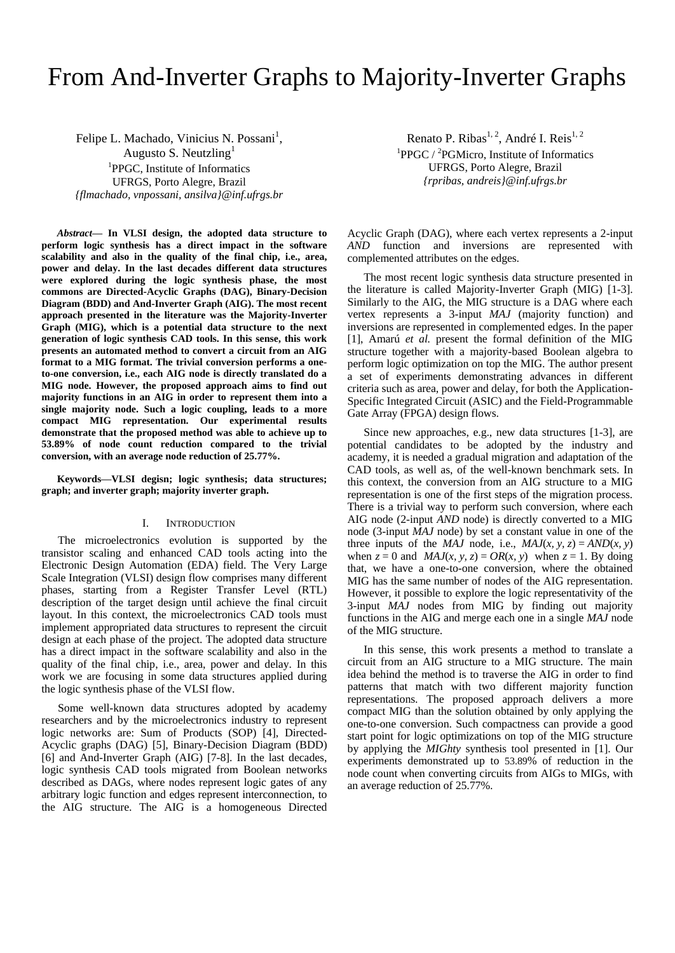# From And-Inverter Graphs to Majority-Inverter Graphs

Felipe L. Machado, Vinicius N. Possani<sup>1</sup>, Augusto S. Neutzling $<sup>1</sup>$ </sup> <sup>1</sup>PPGC, Institute of Informatics UFRGS, Porto Alegre, Brazil *{flmachado, vnpossani, ansilva}@inf.ufrgs.br*

*Abstract***— In VLSI design, the adopted data structure to perform logic synthesis has a direct impact in the software scalability and also in the quality of the final chip, i.e., area, power and delay. In the last decades different data structures were explored during the logic synthesis phase, the most commons are Directed-Acyclic Graphs (DAG), Binary-Decision Diagram (BDD) and And-Inverter Graph (AIG). The most recent approach presented in the literature was the Majority-Inverter Graph (MIG), which is a potential data structure to the next generation of logic synthesis CAD tools. In this sense, this work presents an automated method to convert a circuit from an AIG format to a MIG format. The trivial conversion performs a oneto-one conversion, i.e., each AIG node is directly translated do a MIG node. However, the proposed approach aims to find out majority functions in an AIG in order to represent them into a single majority node. Such a logic coupling, leads to a more compact MIG representation. Our experimental results demonstrate that the proposed method was able to achieve up to 53.89% of node count reduction compared to the trivial conversion, with an average node reduction of 25.77%.**

**Keywords—VLSI degisn; logic synthesis; data structures; graph; and inverter graph; majority inverter graph.**

## I. INTRODUCTION

The microelectronics evolution is supported by the transistor scaling and enhanced CAD tools acting into the Electronic Design Automation (EDA) field. The Very Large Scale Integration (VLSI) design flow comprises many different phases, starting from a Register Transfer Level (RTL) description of the target design until achieve the final circuit layout. In this context, the microelectronics CAD tools must implement appropriated data structures to represent the circuit design at each phase of the project. The adopted data structure has a direct impact in the software scalability and also in the quality of the final chip, i.e., area, power and delay. In this work we are focusing in some data structures applied during the logic synthesis phase of the VLSI flow.

Some well-known data structures adopted by academy researchers and by the microelectronics industry to represent logic networks are: Sum of Products (SOP) [4], Directed-Acyclic graphs (DAG) [5], Binary-Decision Diagram (BDD) [6] and And-Inverter Graph (AIG) [7-8]. In the last decades, logic synthesis CAD tools migrated from Boolean networks described as DAGs, where nodes represent logic gates of any arbitrary logic function and edges represent interconnection, to the AIG structure. The AIG is a homogeneous Directed

Renato P. Ribas<sup>1, 2</sup>, André I. Reis<sup>1, 2</sup> <sup>1</sup>PPGC / <sup>2</sup>PGMicro, Institute of Informatics UFRGS, Porto Alegre, Brazil *{rpribas, andreis}@inf.ufrgs.br*

Acyclic Graph (DAG), where each vertex represents a 2-input *AND* function and inversions are represented with complemented attributes on the edges.

The most recent logic synthesis data structure presented in the literature is called Majority-Inverter Graph (MIG) [1-3]. Similarly to the AIG, the MIG structure is a DAG where each vertex represents a 3-input *MAJ* (majority function) and inversions are represented in complemented edges. In the paper [1], Amarú *et al.* present the formal definition of the MIG structure together with a majority-based Boolean algebra to perform logic optimization on top the MIG. The author present a set of experiments demonstrating advances in different criteria such as area, power and delay, for both the Application-Specific Integrated Circuit (ASIC) and the Field-Programmable Gate Array (FPGA) design flows.

Since new approaches, e.g., new data structures [1-3], are potential candidates to be adopted by the industry and academy, it is needed a gradual migration and adaptation of the CAD tools, as well as, of the well-known benchmark sets. In this context, the conversion from an AIG structure to a MIG representation is one of the first steps of the migration process. There is a trivial way to perform such conversion, where each AIG node (2-input *AND* node) is directly converted to a MIG node (3-input *MAJ* node) by set a constant value in one of the three inputs of the *MAJ* node, i.e., *MAJ*(*x*, *y*, *z*) = *AND*(*x*, *y*) when  $z = 0$  and *MAJ*(*x, y, z*) = *OR*(*x, y*) when  $z = 1$ . By doing that, we have a one-to-one conversion, where the obtained MIG has the same number of nodes of the AIG representation. However, it possible to explore the logic representativity of the 3-input *MAJ* nodes from MIG by finding out majority functions in the AIG and merge each one in a single *MAJ* node of the MIG structure.

In this sense, this work presents a method to translate a circuit from an AIG structure to a MIG structure. The main idea behind the method is to traverse the AIG in order to find patterns that match with two different majority function representations. The proposed approach delivers a more compact MIG than the solution obtained by only applying the one-to-one conversion. Such compactness can provide a good start point for logic optimizations on top of the MIG structure by applying the *MIGhty* synthesis tool presented in [1]. Our experiments demonstrated up to 53.89% of reduction in the node count when converting circuits from AIGs to MIGs, with an average reduction of 25.77%.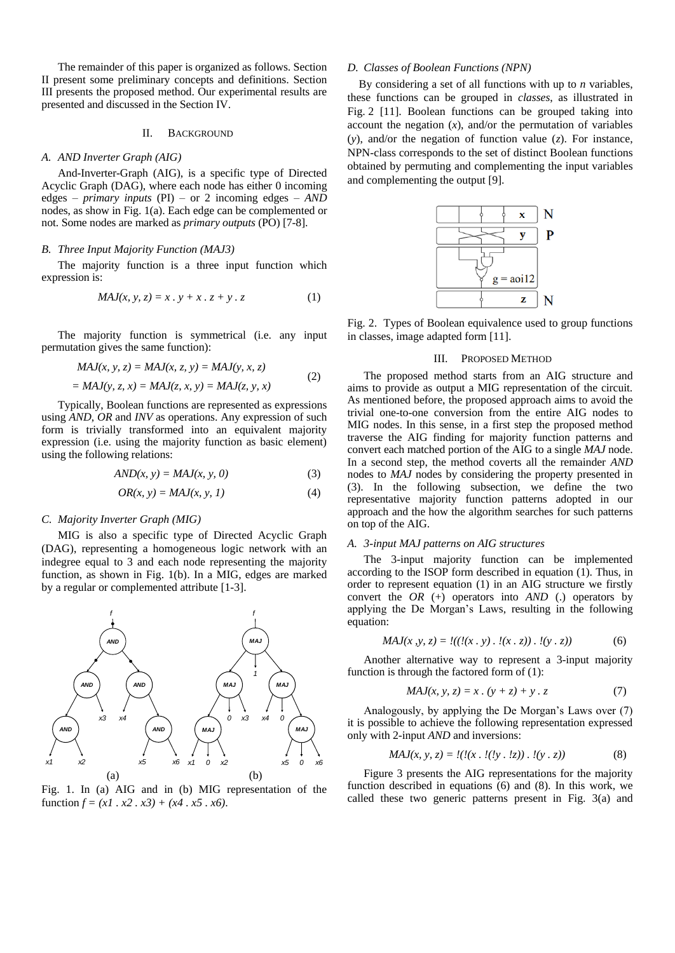The remainder of this paper is organized as follows. Section II present some preliminary concepts and definitions. Section III presents the proposed method. Our experimental results are presented and discussed in the Section IV.

## II. BACKGROUND

## *A. AND Inverter Graph (AIG)*

And-Inverter-Graph (AIG), is a specific type of Directed Acyclic Graph (DAG), where each node has either 0 incoming edges – *primary inputs* (PI) – or 2 incoming edges – *AND* nodes, as show in Fig. 1(a). Each edge can be complemented or not. Some nodes are marked as *primary outputs* (PO) [7-8].

#### *B. Three Input Majority Function (MAJ3)*

The majority function is a three input function which expression is:

$$
MAJ(x, y, z) = x \cdot y + x \cdot z + y \cdot z \tag{1}
$$

The majority function is symmetrical (i.e. any input permutation gives the same function):

$$
MAJ(x, y, z) = MAJ(x, z, y) = MAJ(y, x, z)
$$
  
= MAJ(y, z, x) = MAJ(z, x, y) = MAJ(z, y, x) (2)

Typically, Boolean functions are represented as expressions using *AND*, *OR* and *INV* as operations. Any expression of such form is trivially transformed into an equivalent majority expression (i.e. using the majority function as basic element) using the following relations:

$$
AND(x, y) = MAJ(x, y, 0)
$$
\n(3)

$$
OR(x, y) = MAJ(x, y, 1)
$$
 (4)

## *C. Majority Inverter Graph (MIG)*

MIG is also a specific type of Directed Acyclic Graph (DAG), representing a homogeneous logic network with an indegree equal to 3 and each node representing the majority function, as shown in Fig. 1(b). In a MIG, edges are marked by a regular or complemented attribute [1-3].



Fig. 1. In (a) AIG and in (b) MIG representation of the function  $f = (x1 \cdot x2 \cdot x3) + (x4 \cdot x5 \cdot x6)$ .

# *D. Classes of Boolean Functions (NPN)*

By considering a set of all functions with up to *n* variables, these functions can be grouped in *classes*, as illustrated in Fig. 2 [11]. Boolean functions can be grouped taking into account the negation  $(x)$ , and/or the permutation of variables (*y*), and/or the negation of function value (*z*). For instance, NPN-class corresponds to the set of distinct Boolean functions obtained by permuting and complementing the input variables and complementing the output [9].



Fig. 2. Types of Boolean equivalence used to group functions in classes, image adapted form [11].

#### III. PROPOSED METHOD

The proposed method starts from an AIG structure and aims to provide as output a MIG representation of the circuit. As mentioned before, the proposed approach aims to avoid the trivial one-to-one conversion from the entire AIG nodes to MIG nodes. In this sense, in a first step the proposed method traverse the AIG finding for majority function patterns and convert each matched portion of the AIG to a single *MAJ* node. In a second step, the method coverts all the remainder *AND* nodes to *MAJ* nodes by considering the property presented in (3). In the following subsection, we define the two representative majority function patterns adopted in our approach and the how the algorithm searches for such patterns on top of the AIG.

## *A. 3-input MAJ patterns on AIG structures*

The 3-input majority function can be implemented according to the ISOP form described in equation (1). Thus, in order to represent equation (1) in an AIG structure we firstly convert the *OR* (+) operators into *AND* (.) operators by applying the De Morgan's Laws, resulting in the following equation:

$$
MAJ(x, y, z) = \frac{I((I(x, y) \cdot I(x, z)) \cdot I(y, z))}{(6)}
$$

Another alternative way to represent a 3-input majority function is through the factored form of (1):

$$
MAJ(x, y, z) = x \cdot (y + z) + y \cdot z \tag{7}
$$

Analogously, by applying the De Morgan's Laws over (7) it is possible to achieve the following representation expressed only with 2-input *AND* and inversions:

$$
MAJ(x, y, z) = \frac{l(l(x, l(y, lz)) \cdot l(y, z))}{(8)}
$$

Figure 3 presents the AIG representations for the majority function described in equations (6) and (8). In this work, we called these two generic patterns present in Fig. 3(a) and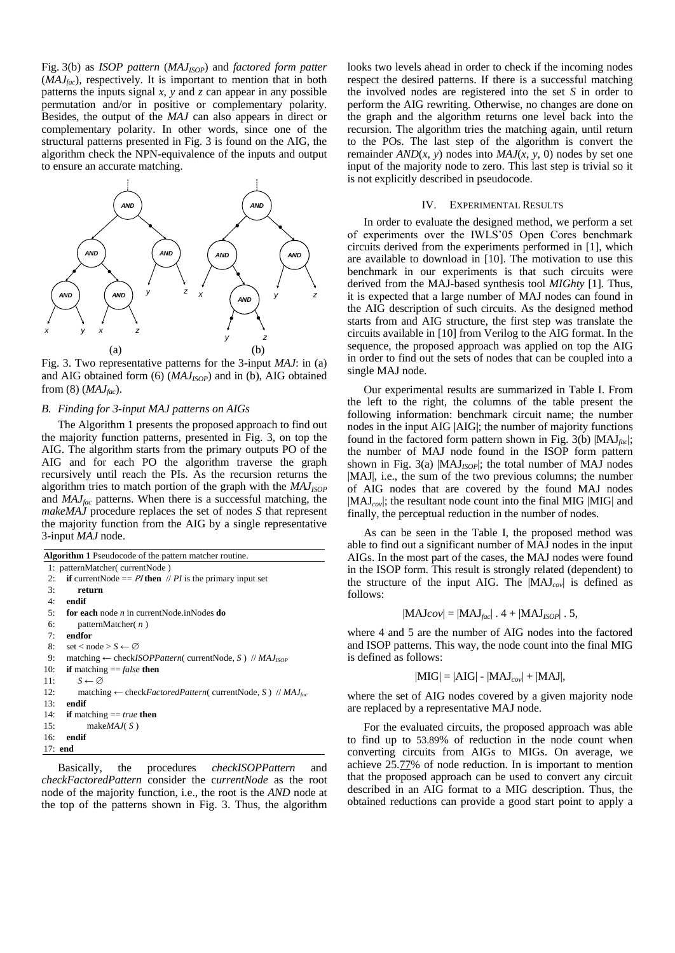Fig. 3(b) as *ISOP pattern* (*MAJISOP*) and *factored form patter* (*MAJfac*), respectively. It is important to mention that in both patterns the inputs signal  $x$ ,  $y$  and  $z$  can appear in any possible permutation and/or in positive or complementary polarity. Besides, the output of the *MAJ* can also appears in direct or complementary polarity. In other words, since one of the structural patterns presented in Fig. 3 is found on the AIG, the algorithm check the NPN-equivalence of the inputs and output to ensure an accurate matching.



Fig. 3. Two representative patterns for the 3-input *MAJ*: in (a) and AIG obtained form (6) (*MAJISOP*) and in (b), AIG obtained from (8) (*MAJfac*).

# *B. Finding for 3-input MAJ patterns on AIGs*

The Algorithm 1 presents the proposed approach to find out the majority function patterns, presented in Fig. 3, on top the AIG. The algorithm starts from the primary outputs PO of the AIG and for each PO the algorithm traverse the graph recursively until reach the PIs. As the recursion returns the algorithm tries to match portion of the graph with the  $MAJ<sub>ISOP</sub>$ and *MAJfac* patterns. When there is a successful matching, the *makeMAJ* procedure replaces the set of nodes *S* that represent the majority function from the AIG by a single representative 3-input *MAJ* node.

| <b>Algorithm 1</b> Pseudocode of the pattern matcher routine.                                       |  |  |  |  |  |  |  |
|-----------------------------------------------------------------------------------------------------|--|--|--|--|--|--|--|
| 1: patternMatcher(currentNode)                                                                      |  |  |  |  |  |  |  |
| <b>if</b> currentNode == $PI$ then $// PI$ is the primary input set<br>2:                           |  |  |  |  |  |  |  |
| 3:<br>return                                                                                        |  |  |  |  |  |  |  |
| 4:<br>endif                                                                                         |  |  |  |  |  |  |  |
| for each node $n$ in current Node. in Nodes do<br>5:                                                |  |  |  |  |  |  |  |
| 6:<br>patternMatcher( $n$ )                                                                         |  |  |  |  |  |  |  |
| endfor<br>7:                                                                                        |  |  |  |  |  |  |  |
| set < node > $S \leftarrow \emptyset$<br>8:                                                         |  |  |  |  |  |  |  |
| matching $\leftarrow$ check <i>ISOPPattern</i> ( currentNode, S) // <i>MAJ<sub>ISOP</sub></i><br>9: |  |  |  |  |  |  |  |
| <b>if</b> matching $=$ <i>false</i> <b>then</b><br>10:                                              |  |  |  |  |  |  |  |
| $S \leftarrow \varnothing$<br>11:                                                                   |  |  |  |  |  |  |  |
| 12:<br>matching $\leftarrow$ check <i>FactoredPattern</i> ( currentNode, S) // $MAJ_{fac}$          |  |  |  |  |  |  |  |
| 13:<br>endif                                                                                        |  |  |  |  |  |  |  |
| 14:<br><b>if</b> matching $== true$ then                                                            |  |  |  |  |  |  |  |
| make $MAJ(S)$<br>15:                                                                                |  |  |  |  |  |  |  |
| endif<br>16:                                                                                        |  |  |  |  |  |  |  |
| $17:$ end                                                                                           |  |  |  |  |  |  |  |

Basically, the procedures *checkISOPPattern* and *checkFactoredPattern* consider the c*urrentNode* as the root node of the majority function, i.e., the root is the *AND* node at the top of the patterns shown in Fig. 3. Thus, the algorithm

looks two levels ahead in order to check if the incoming nodes respect the desired patterns. If there is a successful matching the involved nodes are registered into the set *S* in order to perform the AIG rewriting. Otherwise, no changes are done on the graph and the algorithm returns one level back into the recursion. The algorithm tries the matching again, until return to the POs. The last step of the algorithm is convert the remainder  $AND(x, y)$  nodes into  $MAJ(x, y, 0)$  nodes by set one input of the majority node to zero. This last step is trivial so it is not explicitly described in pseudocode.

#### IV. EXPERIMENTAL RESULTS

In order to evaluate the designed method, we perform a set of experiments over the IWLS'05 Open Cores benchmark circuits derived from the experiments performed in [1], which are available to download in [10]. The motivation to use this benchmark in our experiments is that such circuits were derived from the MAJ-based synthesis tool *MIGhty* [1]. Thus, it is expected that a large number of MAJ nodes can found in the AIG description of such circuits. As the designed method starts from and AIG structure, the first step was translate the circuits available in [10] from Verilog to the AIG format. In the sequence, the proposed approach was applied on top the AIG in order to find out the sets of nodes that can be coupled into a single MAJ node.

Our experimental results are summarized in Table I. From the left to the right, the columns of the table present the following information: benchmark circuit name; the number nodes in the input AIG **|**AIG**|**; the number of majority functions found in the factored form pattern shown in Fig. 3(b) |MAJ*fac*|; the number of MAJ node found in the ISOP form pattern shown in Fig. 3(a) |MAJ<sub>ISOP</sub>|; the total number of MAJ nodes |MAJ|, i.e., the sum of the two previous columns; the number of AIG nodes that are covered by the found MAJ nodes |MAJ*cov*|; the resultant node count into the final MIG |MIG| and finally, the perceptual reduction in the number of nodes.

As can be seen in the Table I, the proposed method was able to find out a significant number of MAJ nodes in the input AIGs. In the most part of the cases, the MAJ nodes were found in the ISOP form. This result is strongly related (dependent) to the structure of the input AIG. The |MAJ*cov*| is defined as follows:

$$
|\text{MAJ}cov| = |\text{MAJ}_{fac}| \cdot 4 + |\text{MAJ}_{ISOP}| \cdot 5,
$$

where 4 and 5 are the number of AIG nodes into the factored and ISOP patterns. This way, the node count into the final MIG is defined as follows:

$$
|MIG| = |AIG| - |MAJ_{cov}| + |MAJ|,
$$

where the set of AIG nodes covered by a given majority node are replaced by a representative MAJ node.

For the evaluated circuits, the proposed approach was able to find up to 53.89% of reduction in the node count when converting circuits from AIGs to MIGs. On average, we achieve 25.77% of node reduction. In is important to mention that the proposed approach can be used to convert any circuit described in an AIG format to a MIG description. Thus, the obtained reductions can provide a good start point to apply a